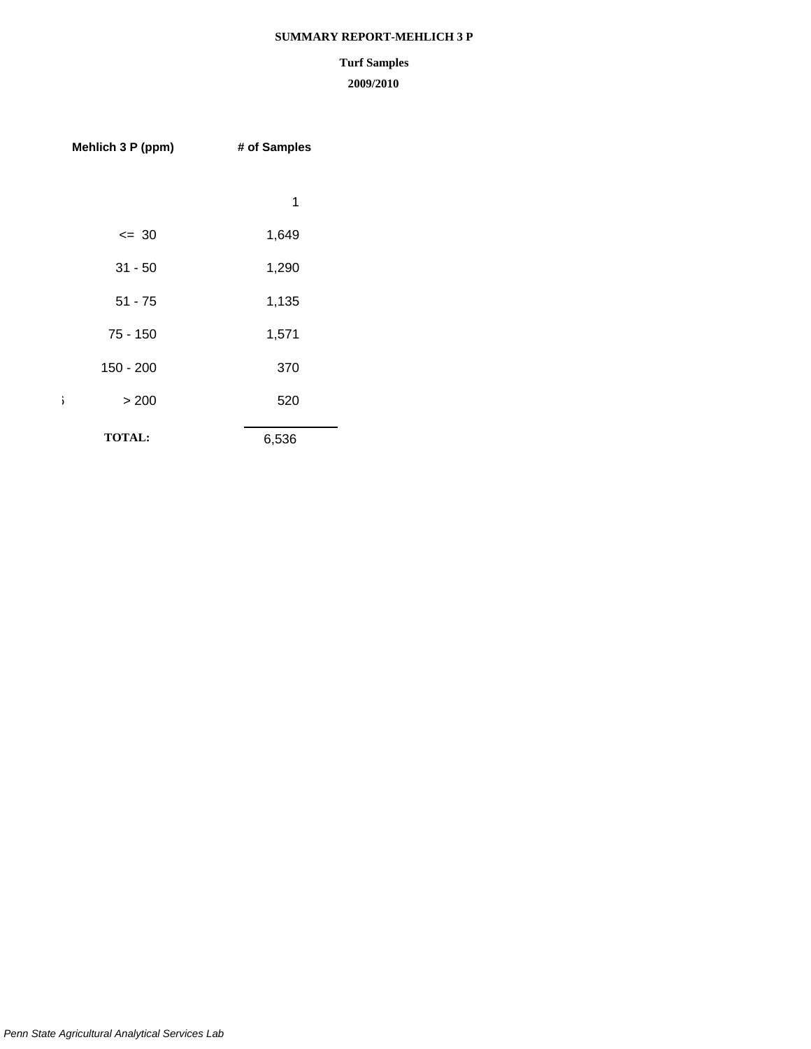# **SUMMARY REPORT-MEHLICH 3 P**

# **Turf Samples**

| Mehlich 3 P (ppm) | # of Samples |
|-------------------|--------------|
|                   |              |
|                   | 1            |
| $= 30$            | 1,649        |
| $31 - 50$         | 1,290        |
| $51 - 75$         | 1,135        |
| $75 - 150$        | 1,571        |
| $150 - 200$       | 370          |
| ì<br>> 200        | 520          |
| <b>TOTAL:</b>     | 6,536        |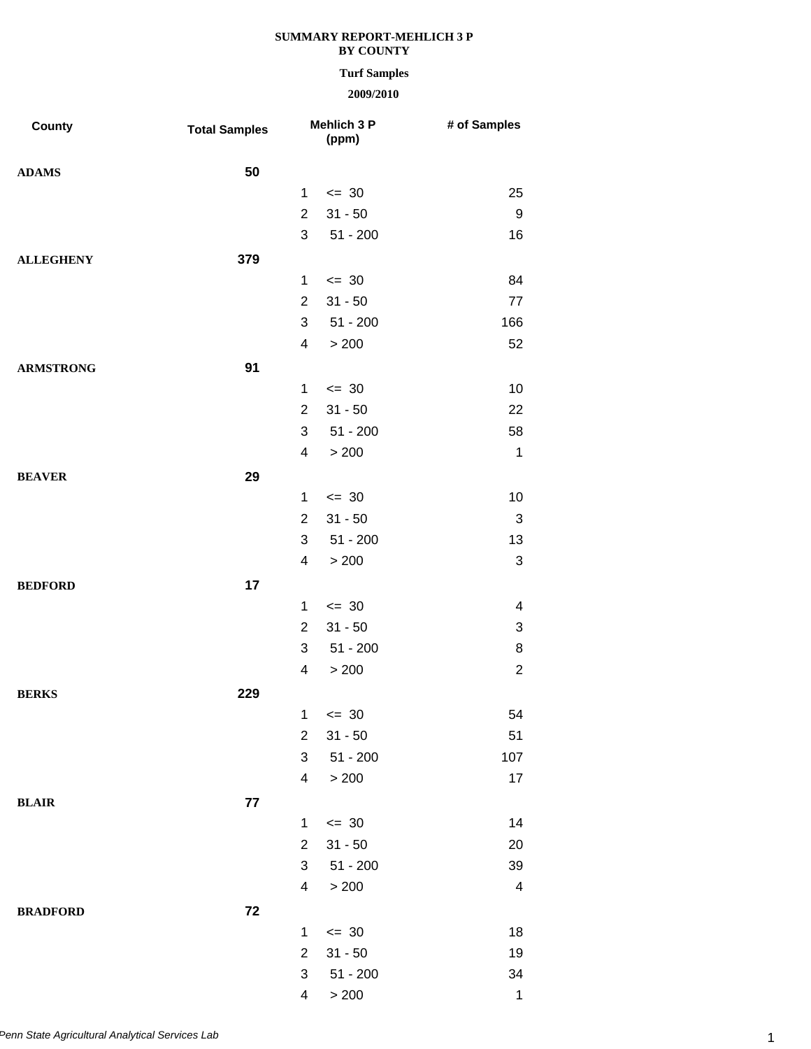## **Turf Samples**

| <b>County</b>    | <b>Total Samples</b> |                         | Mehlich 3 P<br>(ppm) | # of Samples            |
|------------------|----------------------|-------------------------|----------------------|-------------------------|
| <b>ADAMS</b>     | 50                   |                         |                      |                         |
|                  |                      | $\mathbf{1}$            | $\leq$ 30            | 25                      |
|                  |                      | $\overline{2}$          | $31 - 50$            | 9                       |
|                  |                      | 3                       | $51 - 200$           | 16                      |
| <b>ALLEGHENY</b> | 379                  |                         |                      |                         |
|                  |                      | $\mathbf{1}$            | $\leq$ 30            | 84                      |
|                  |                      | $\overline{2}$          | $31 - 50$            | 77                      |
|                  |                      | 3                       | $51 - 200$           | 166                     |
|                  |                      | 4                       | > 200                | 52                      |
| <b>ARMSTRONG</b> | 91                   |                         |                      |                         |
|                  |                      | $\mathbf{1}$            | $\leq$ 30            | 10                      |
|                  |                      | $\overline{2}$          | $31 - 50$            | 22                      |
|                  |                      | 3                       | $51 - 200$           | 58                      |
|                  |                      | 4                       | > 200                | 1                       |
| <b>BEAVER</b>    | 29                   |                         |                      |                         |
|                  |                      | $\mathbf{1}$            | $\leq$ 30            | 10                      |
|                  |                      | $\overline{2}$          | $31 - 50$            | $\sqrt{3}$              |
|                  |                      | 3                       | $51 - 200$           | 13                      |
|                  |                      | $\overline{\mathbf{4}}$ | > 200                | $\sqrt{3}$              |
| <b>BEDFORD</b>   | 17                   |                         |                      |                         |
|                  |                      | 1                       | $\leq$ 30            | 4                       |
|                  |                      | $\overline{2}$          | $31 - 50$            | 3                       |
|                  |                      | 3                       | $51 - 200$           | 8                       |
|                  |                      | $\overline{\mathbf{4}}$ | > 200                | $\sqrt{2}$              |
| <b>BERKS</b>     | 229                  |                         |                      |                         |
|                  |                      | 1                       | $\leq$ 30            | 54                      |
|                  |                      | $\overline{2}$          | $31 - 50$            | 51                      |
|                  |                      | 3                       | $51 - 200$           | 107                     |
|                  |                      | 4                       | > 200                | $17$                    |
| <b>BLAIR</b>     | 77                   |                         |                      |                         |
|                  |                      | 1                       | $\leq$ 30            | 14                      |
|                  |                      | $\overline{2}$          | $31 - 50$            | 20                      |
|                  |                      | 3                       | $51 - 200$           | 39                      |
|                  |                      | $\overline{\mathbf{4}}$ | > 200                | $\overline{\mathbf{4}}$ |
| <b>BRADFORD</b>  | 72                   |                         |                      |                         |
|                  |                      | $\mathbf{1}$            | $\leq$ 30            | 18                      |
|                  |                      | $\overline{c}$          | $31 - 50$            | 19                      |
|                  |                      | 3                       | $51 - 200$           | 34                      |
|                  |                      | $\overline{\mathbf{4}}$ | > 200                | $\mathbf{1}$            |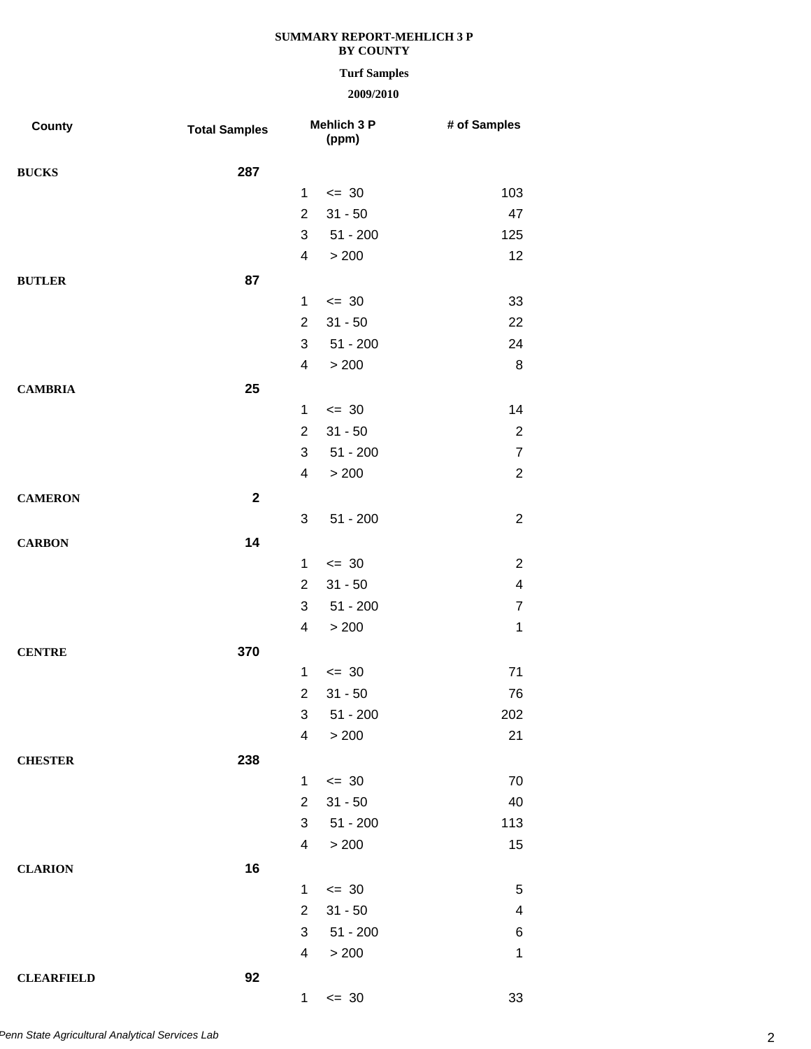# **Turf Samples**

| <b>County</b>     | <b>Total Samples</b> |                          | Mehlich 3 P<br>(ppm) | # of Samples   |
|-------------------|----------------------|--------------------------|----------------------|----------------|
| <b>BUCKS</b>      | 287                  |                          |                      |                |
|                   |                      | $\mathbf 1$              | $\leq$ 30            | 103            |
|                   |                      | $\overline{2}$           | $31 - 50$            | 47             |
|                   |                      | 3                        | $51 - 200$           | 125            |
|                   |                      | $\overline{\mathcal{A}}$ | > 200                | 12             |
| <b>BUTLER</b>     | 87                   |                          |                      |                |
|                   |                      | $\mathbf{1}$             | $= 30$               | 33             |
|                   |                      | $\overline{2}$           | $31 - 50$            | 22             |
|                   |                      | 3                        | $51 - 200$           | 24             |
|                   |                      | $\overline{4}$           | > 200                | 8              |
| <b>CAMBRIA</b>    | 25                   |                          |                      |                |
|                   |                      | $\mathbf{1}$             | $\leq$ 30            | 14             |
|                   |                      | $\overline{2}$           | $31 - 50$            | $\overline{2}$ |
|                   |                      | 3                        | $51 - 200$           | $\overline{7}$ |
|                   |                      | $\overline{\mathbf{4}}$  | > 200                | $\overline{2}$ |
| <b>CAMERON</b>    | $\mathbf{2}$         |                          |                      |                |
|                   |                      | 3                        | $51 - 200$           | $\overline{2}$ |
| <b>CARBON</b>     | 14                   |                          |                      |                |
|                   |                      | $\mathbf{1}$             | $\leq$ 30            | $\overline{2}$ |
|                   |                      | $\overline{2}$           | $31 - 50$            | 4              |
|                   |                      | 3                        | $51 - 200$           | $\overline{7}$ |
|                   |                      | $\overline{4}$           | > 200                | $\mathbf 1$    |
| <b>CENTRE</b>     | 370                  |                          |                      |                |
|                   |                      | $\mathbf{1}$             | $\leq$ 30            | 71             |
|                   |                      | $\overline{2}$           | $31 - 50$            | 76             |
|                   |                      | 3                        | $51 - 200$           | 202            |
|                   |                      | $\overline{\mathbf{4}}$  | > 200                | 21             |
| <b>CHESTER</b>    | 238                  |                          |                      |                |
|                   |                      | $\mathbf{1}$             | $\leq$ 30            | 70             |
|                   |                      | $\overline{2}$           | $31 - 50$            | 40             |
|                   |                      | 3                        | $51 - 200$           | 113            |
|                   |                      | $\overline{\mathbf{4}}$  | > 200                | 15             |
|                   | 16                   |                          |                      |                |
| <b>CLARION</b>    |                      | $\mathbf{1}$             | $\leq$ 30            | 5              |
|                   |                      | $\overline{2}$           | $31 - 50$            | 4              |
|                   |                      | 3                        | $51 - 200$           | 6              |
|                   |                      | $\overline{4}$           | > 200                | $\mathbf 1$    |
|                   |                      |                          |                      |                |
| <b>CLEARFIELD</b> | 92                   |                          | $\leq$ 30            | 33             |
|                   |                      | 1                        |                      |                |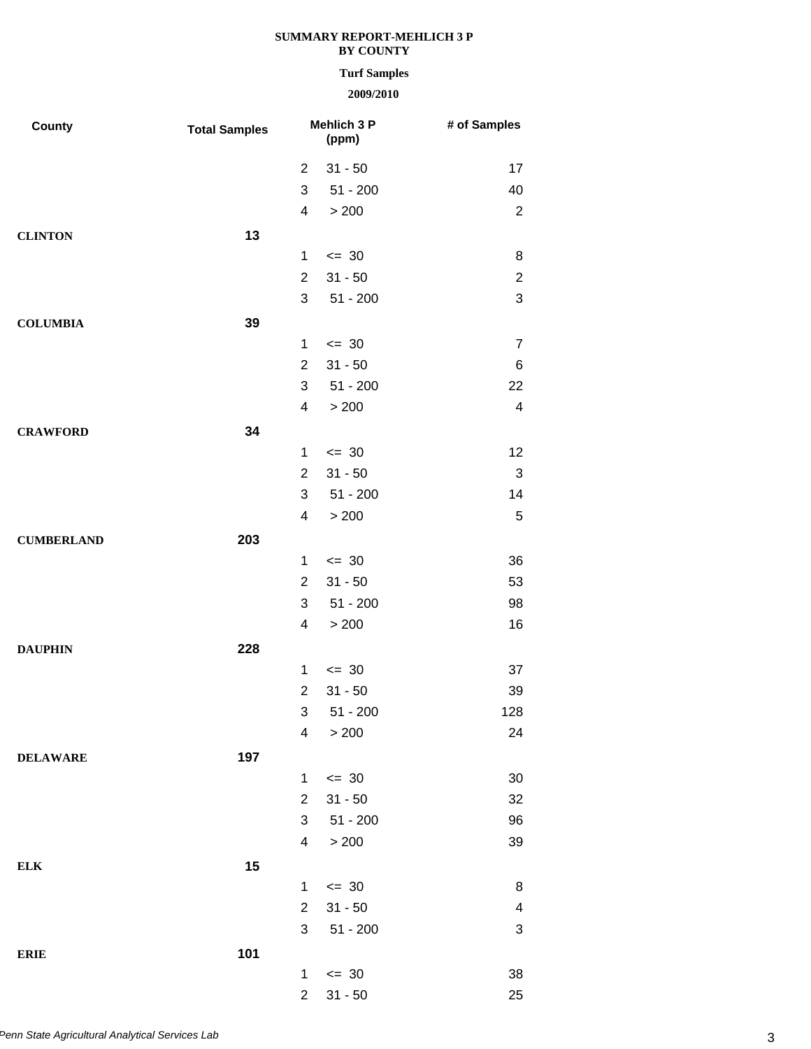## **Turf Samples**

| <b>County</b>     | <b>Total Samples</b> |                         | Mehlich 3 P<br>(ppm) | # of Samples            |
|-------------------|----------------------|-------------------------|----------------------|-------------------------|
|                   |                      | $\overline{2}$          | $31 - 50$            | 17                      |
|                   |                      | 3                       | $51 - 200$           | 40                      |
|                   |                      | $\overline{\mathbf{4}}$ | > 200                | $\overline{2}$          |
| <b>CLINTON</b>    | 13                   |                         |                      |                         |
|                   |                      | $\mathbf 1$             | $\leq$ 30            | 8                       |
|                   |                      | $\overline{2}$          | $31 - 50$            | $\overline{\mathbf{c}}$ |
|                   |                      | 3                       | $51 - 200$           | 3                       |
| <b>COLUMBIA</b>   | 39                   |                         |                      |                         |
|                   |                      | $\mathbf 1$             | $\leq$ 30            | $\overline{7}$          |
|                   |                      | $\overline{2}$          | $31 - 50$            | 6                       |
|                   |                      | 3                       | $51 - 200$           | 22                      |
|                   |                      | 4                       | > 200                | $\overline{\mathbf{4}}$ |
| <b>CRAWFORD</b>   | 34                   |                         |                      |                         |
|                   |                      | $\mathbf 1$             | $\leq$ 30            | 12                      |
|                   |                      | $\overline{2}$          | $31 - 50$            | $\sqrt{3}$              |
|                   |                      | 3                       | $51 - 200$           | 14                      |
|                   |                      | 4                       | > 200                | 5                       |
| <b>CUMBERLAND</b> | 203                  |                         |                      |                         |
|                   |                      | 1                       | $\leq$ 30            | 36                      |
|                   |                      | $\overline{2}$          | $31 - 50$            | 53                      |
|                   |                      | 3                       | $51 - 200$           | 98                      |
|                   |                      | $\overline{\mathbf{4}}$ | > 200                | 16                      |
| <b>DAUPHIN</b>    | 228                  |                         |                      |                         |
|                   |                      | $\mathbf 1$             | $\leq$ 30            | 37                      |
|                   |                      | $\overline{2}$          | $31 - 50$            | 39                      |
|                   |                      |                         | $3 51 - 200$         | 128                     |
|                   |                      | $\overline{\mathbf{4}}$ | > 200                | 24                      |
| <b>DELAWARE</b>   | 197                  |                         |                      |                         |
|                   |                      | 1                       | $\leq$ 30            | 30                      |
|                   |                      | $\overline{2}$          | $31 - 50$            | 32                      |
|                   |                      | 3                       | $51 - 200$           | 96                      |
|                   |                      | $\overline{\mathbf{4}}$ | > 200                | 39                      |
| <b>ELK</b>        | 15                   |                         |                      |                         |
|                   |                      | 1                       | $\leq$ 30            | 8                       |
|                   |                      | $\overline{2}$          | $31 - 50$            | 4                       |
|                   |                      | 3                       | $51 - 200$           | 3                       |
| <b>ERIE</b>       | 101                  |                         |                      |                         |
|                   |                      | $\mathbf{1}$            | $\leq$ 30            | 38                      |
|                   |                      | $\overline{a}$          | $31 - 50$            | 25                      |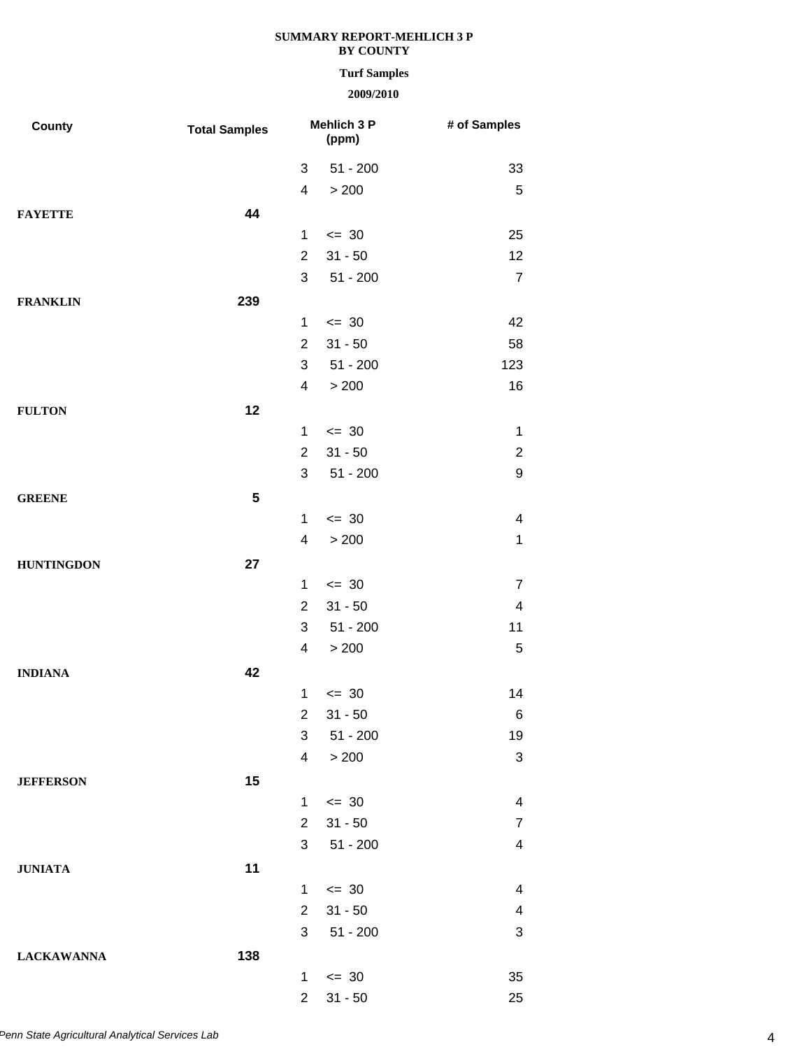## **Turf Samples**

| <b>County</b>     | <b>Total Samples</b> |                         | Mehlich 3 P<br>(ppm)    | # of Samples                    |
|-------------------|----------------------|-------------------------|-------------------------|---------------------------------|
|                   |                      | 3                       | $51 - 200$              | 33                              |
|                   |                      | $\overline{\mathbf{4}}$ | > 200                   | $\sqrt{5}$                      |
| <b>FAYETTE</b>    | 44                   |                         |                         |                                 |
|                   |                      | $\mathbf{1}$            | $\leq$ 30               | 25                              |
|                   |                      | $\overline{2}$          | $31 - 50$               | 12                              |
|                   |                      | 3                       | $51 - 200$              | $\overline{7}$                  |
| <b>FRANKLIN</b>   | 239                  |                         |                         |                                 |
|                   |                      | 1                       | $\leq$ 30               | 42                              |
|                   |                      | $\overline{2}$          | $31 - 50$               | 58                              |
|                   |                      | 3                       | $51 - 200$              | 123                             |
|                   |                      | 4                       | > 200                   | 16                              |
| <b>FULTON</b>     | 12                   |                         |                         |                                 |
|                   |                      | $\mathbf 1$             | $\leq$ 30               | $\mathbf{1}$                    |
|                   |                      | $\overline{2}$          | $31 - 50$               | $\overline{2}$                  |
|                   |                      | 3                       | $51 - 200$              | 9                               |
| <b>GREENE</b>     | 5                    |                         |                         |                                 |
|                   |                      | $\mathbf 1$             | $\leq$ 30               | $\overline{\mathbf{4}}$         |
|                   |                      | $\overline{\mathbf{4}}$ | > 200                   | $\mathbf{1}$                    |
| <b>HUNTINGDON</b> | 27                   |                         |                         |                                 |
|                   |                      | $\mathbf{1}$            | $\leq$ 30               | $\overline{7}$                  |
|                   |                      | $\overline{2}$          | $31 - 50$               | $\overline{\mathbf{4}}$         |
|                   |                      | 3                       | $51 - 200$              | 11                              |
|                   |                      | 4                       | > 200                   | $\mathbf 5$                     |
|                   |                      |                         |                         |                                 |
| <b>INDIANA</b>    | 42                   | $\mathbf{1}$            | $= 30$                  | 14                              |
|                   |                      | $\overline{c}$          |                         | 6                               |
|                   |                      | 3                       | $31 - 50$<br>$51 - 200$ |                                 |
|                   |                      | $\overline{\mathbf{4}}$ | > 200                   | 19<br>$\ensuremath{\mathsf{3}}$ |
|                   |                      |                         |                         |                                 |
| <b>JEFFERSON</b>  | 15                   |                         |                         |                                 |
|                   |                      | $\mathbf{1}$            | $\leq$ 30               | 4                               |
|                   |                      | $\overline{2}$          | $31 - 50$               | $\overline{7}$                  |
|                   |                      | 3                       | $51 - 200$              | $\overline{\mathbf{4}}$         |
| <b>JUNIATA</b>    | 11                   |                         |                         |                                 |
|                   |                      | 1                       | $\leq$ 30               | 4                               |
|                   |                      | $\overline{2}$          | $31 - 50$               | 4                               |
|                   |                      | 3                       | $51 - 200$              | 3                               |
| <b>LACKAWANNA</b> | 138                  |                         |                         |                                 |
|                   |                      | 1                       | $\leq$ 30               | 35                              |
|                   |                      | $\overline{a}$          | $31 - 50$               | 25                              |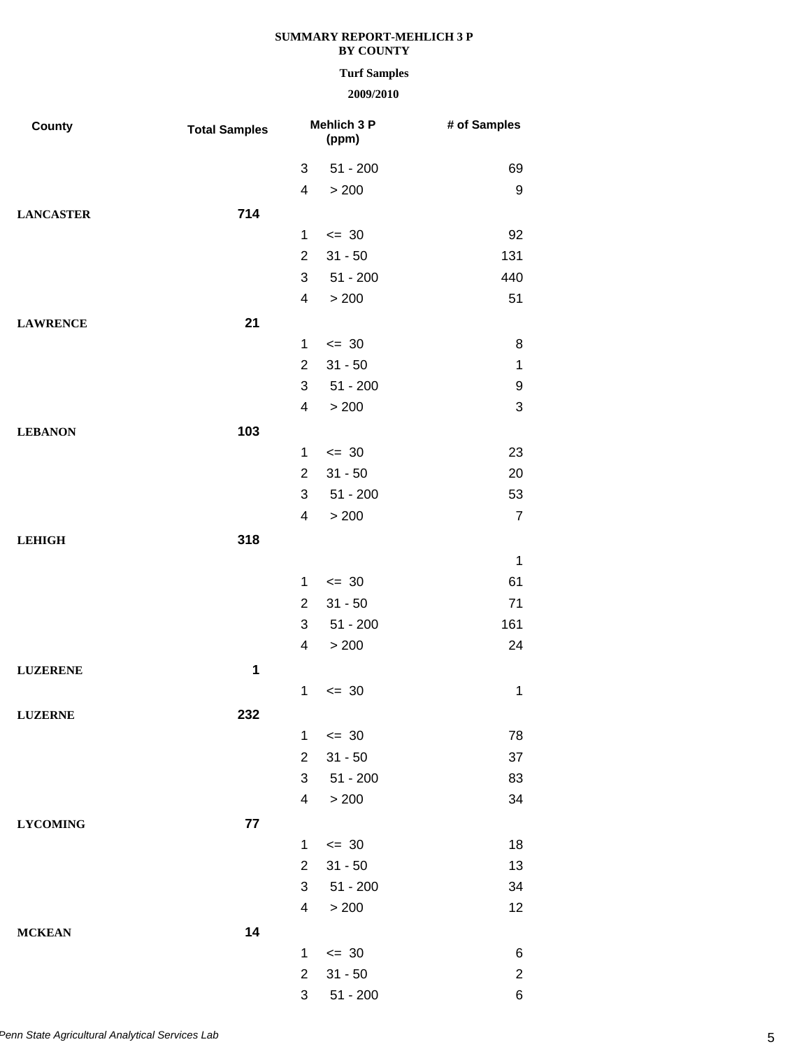## **Turf Samples**

| County           | <b>Total Samples</b> |                         | Mehlich 3 P<br>(ppm) | # of Samples   |
|------------------|----------------------|-------------------------|----------------------|----------------|
|                  |                      | 3                       | $51 - 200$           | 69             |
|                  |                      | $\overline{\mathbf{4}}$ | > 200                | 9              |
| <b>LANCASTER</b> | 714                  |                         |                      |                |
|                  |                      | $\mathbf 1$             | $\leq$ 30            | 92             |
|                  |                      | $\overline{2}$          | $31 - 50$            | 131            |
|                  |                      | 3                       | $51 - 200$           | 440            |
|                  |                      | 4                       | > 200                | 51             |
| <b>LAWRENCE</b>  | 21                   |                         |                      |                |
|                  |                      | $\mathbf 1$             | $\leq$ 30            | 8              |
|                  |                      | $\overline{2}$          | $31 - 50$            | 1              |
|                  |                      | 3                       | $51 - 200$           | 9              |
|                  |                      | $\overline{\mathbf{4}}$ | > 200                | 3              |
| <b>LEBANON</b>   | 103                  |                         |                      |                |
|                  |                      | $\mathbf 1$             | $\leq$ 30            | 23             |
|                  |                      | $\overline{2}$          | $31 - 50$            | 20             |
|                  |                      | 3                       | $51 - 200$           | 53             |
|                  |                      | 4                       | > 200                | $\overline{7}$ |
| <b>LEHIGH</b>    | 318                  |                         |                      |                |
|                  |                      |                         |                      | $\mathbf 1$    |
|                  |                      | $\mathbf 1$             | $\leq$ 30            | 61             |
|                  |                      | $\overline{2}$          | $31 - 50$            | 71             |
|                  |                      | 3                       | $51 - 200$           | 161            |
|                  |                      | $\overline{\mathbf{4}}$ | > 200                | 24             |
| <b>LUZERENE</b>  | $\mathbf 1$          |                         |                      |                |
|                  |                      | $\mathbf 1$             | $= 30$               | 1              |
| <b>LUZERNE</b>   | 232                  |                         |                      |                |
|                  |                      | $\mathbf 1$             | $\leq$ 30            | 78             |
|                  |                      | $\overline{2}$          | $31 - 50$            | 37             |
|                  |                      | 3                       | $51 - 200$           | 83             |
|                  |                      | 4                       | > 200                | 34             |
| <b>LYCOMING</b>  | 77                   |                         |                      |                |
|                  |                      | $\mathbf 1$             | $\leq$ 30            | 18             |
|                  |                      | $\overline{2}$          | $31 - 50$            | 13             |
|                  |                      | 3                       | $51 - 200$           | 34             |
|                  |                      | 4                       | > 200                | 12             |
| <b>MCKEAN</b>    | 14                   |                         |                      |                |
|                  |                      | $\mathbf{1}$            | $\leq$ 30            | 6              |
|                  |                      | $\overline{2}$          | $31 - 50$            | $\overline{c}$ |
|                  |                      | 3                       | $51 - 200$           | 6              |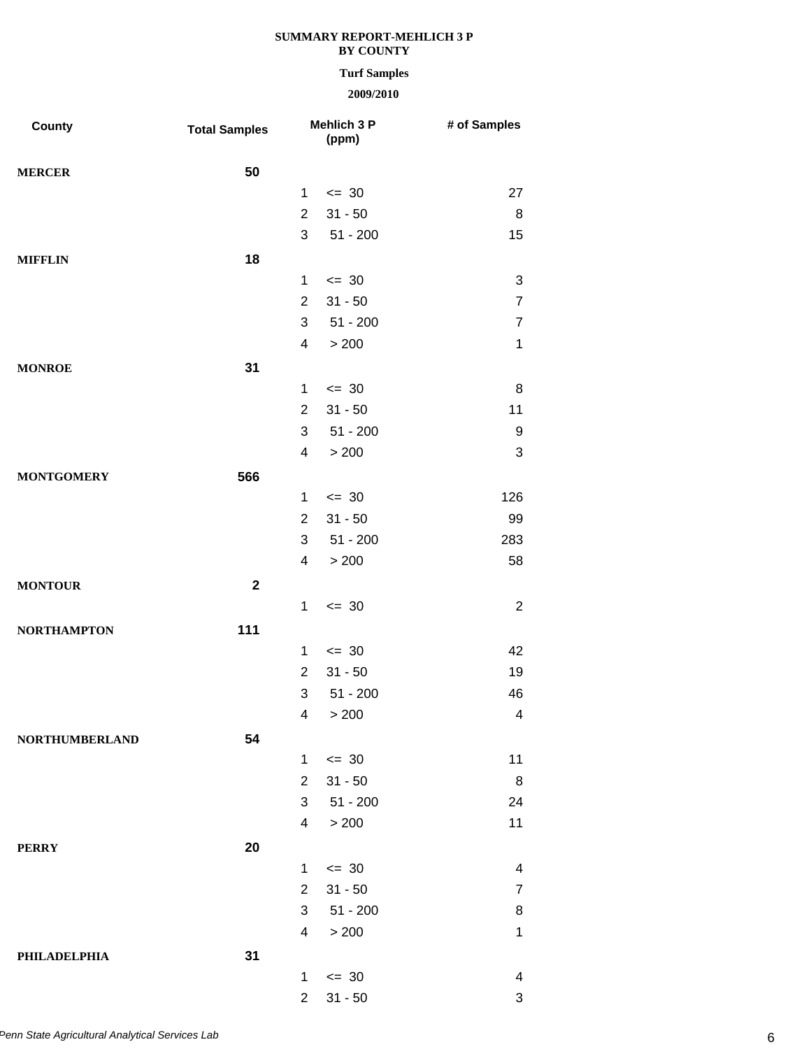## **Turf Samples**

| County                | <b>Total Samples</b> |                         | Mehlich 3 P<br>(ppm) | # of Samples   |
|-----------------------|----------------------|-------------------------|----------------------|----------------|
| <b>MERCER</b>         | 50                   |                         |                      |                |
|                       |                      | 1                       | $\leq$ 30            | 27             |
|                       |                      | $\overline{2}$          | $31 - 50$            | 8              |
|                       |                      | 3                       | $51 - 200$           | 15             |
| <b>MIFFLIN</b>        | 18                   |                         |                      |                |
|                       |                      | 1                       | $\leq$ 30            | 3              |
|                       |                      | $\overline{2}$          | $31 - 50$            | $\overline{7}$ |
|                       |                      | 3                       | $51 - 200$           | $\overline{7}$ |
|                       |                      | 4                       | > 200                | $\mathbf{1}$   |
| <b>MONROE</b>         | 31                   |                         |                      |                |
|                       |                      | 1                       | $\leq$ 30            | 8              |
|                       |                      | $\overline{2}$          | $31 - 50$            | 11             |
|                       |                      | 3                       | $51 - 200$           | 9              |
|                       |                      | 4                       | > 200                | 3              |
| <b>MONTGOMERY</b>     | 566                  |                         |                      |                |
|                       |                      | 1                       | $= 30$               | 126            |
|                       |                      | $\overline{2}$          | $31 - 50$            | 99             |
|                       |                      | 3                       | $51 - 200$           | 283            |
|                       |                      | $\overline{\mathbf{4}}$ | > 200                | 58             |
| <b>MONTOUR</b>        | $\mathbf{2}$         |                         |                      |                |
|                       |                      | $\mathbf{1}$            | $= 30$               | $\overline{2}$ |
| <b>NORTHAMPTON</b>    | 111                  |                         |                      |                |
|                       |                      | 1                       | $= 30$               | 42             |
|                       |                      | $\overline{2}$          | $31 - 50$            | 19             |
|                       |                      | 3                       | $51 - 200$           | 46             |
|                       |                      | 4                       | > 200                | 4              |
| <b>NORTHUMBERLAND</b> | 54                   |                         |                      |                |
|                       |                      | $\mathbf 1$             | $\leq$ 30            | 11             |
|                       |                      | $\overline{2}$          | $31 - 50$            | 8              |
|                       |                      | 3                       | $51 - 200$           | 24             |
|                       |                      | 4                       | > 200                | 11             |
| <b>PERRY</b>          | 20                   |                         |                      |                |
|                       |                      | 1                       | $= 30$               | 4              |
|                       |                      | $\overline{2}$          | $31 - 50$            | $\overline{7}$ |
|                       |                      | 3                       | $51 - 200$           | 8              |
|                       |                      | 4                       | > 200                | $\mathbf 1$    |
| PHILADELPHIA          | 31                   |                         |                      |                |
|                       |                      | 1                       | $\leq$ 30            | 4              |
|                       |                      | $\overline{2}$          | $31 - 50$            | 3              |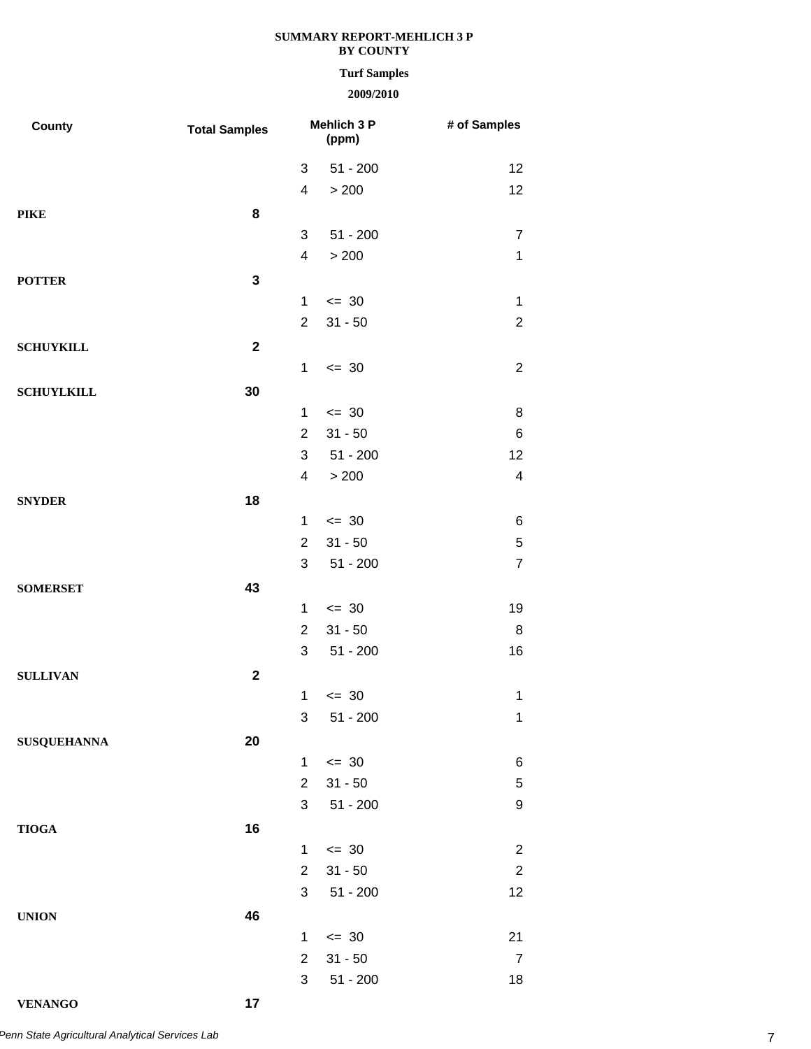## **Turf Samples**

# **2009/2010**

| County             | <b>Total Samples</b> | <b>Mehlich 3 P</b><br>(ppm)    |                         | # of Samples         |
|--------------------|----------------------|--------------------------------|-------------------------|----------------------|
|                    |                      | 3                              | $51 - 200$              | 12                   |
|                    |                      | 4                              | > 200                   | 12                   |
| <b>PIKE</b>        | 8                    |                                |                         |                      |
|                    |                      | 3                              | $51 - 200$              | $\overline{7}$       |
|                    |                      | $\overline{\mathbf{4}}$        | > 200                   | $\mathbf 1$          |
| <b>POTTER</b>      | 3                    |                                |                         |                      |
|                    |                      | $\mathbf 1$                    | $= 30$                  | $\mathbf 1$          |
|                    |                      | $\overline{2}$                 | $31 - 50$               | $\overline{2}$       |
| <b>SCHUYKILL</b>   | $\mathbf{2}$         |                                |                         |                      |
|                    |                      | $\mathbf{1}$                   | $\leq$ 30               | $\overline{2}$       |
| <b>SCHUYLKILL</b>  | 30                   |                                |                         |                      |
|                    |                      | 1                              | $\leq$ 30               | 8                    |
|                    |                      | $\overline{2}$                 | $31 - 50$               | 6                    |
|                    |                      | 3                              | $51 - 200$              | 12                   |
|                    |                      | $\overline{\mathbf{4}}$        | > 200                   | 4                    |
| <b>SNYDER</b>      | 18                   |                                |                         |                      |
|                    |                      | $\mathbf{1}$                   | $\leq$ 30               | 6                    |
|                    |                      | $\overline{2}$                 | $31 - 50$               | 5                    |
|                    |                      | 3                              | $51 - 200$              | $\overline{7}$       |
| <b>SOMERSET</b>    | 43                   |                                |                         |                      |
|                    |                      | 1                              | $\leq$ 30               | 19                   |
|                    |                      | $\overline{2}$                 | $31 - 50$               | 8                    |
|                    |                      | 3                              | $51 - 200$              | 16                   |
| <b>SULLIVAN</b>    | $\mathbf{2}$         |                                |                         |                      |
|                    |                      | $\mathbf{1}$                   | $= 30$                  | $\mathbf 1$          |
|                    |                      | 3                              | $51 - 200$              | $\mathbf{1}$         |
| <b>SUSQUEHANNA</b> | 20                   |                                |                         |                      |
|                    |                      | $\mathbf{1}$                   | $\leq$ 30               | 6                    |
|                    |                      | $\overline{2}$                 | $31 - 50$               | 5                    |
|                    |                      | 3                              | $51 - 200$              | 9                    |
| <b>TIOGA</b>       | 16                   |                                |                         |                      |
|                    |                      | $\mathbf 1$                    | $\leq$ 30               | $\overline{c}$       |
|                    |                      | $\overline{2}$                 | $31 - 50$               | $\overline{2}$       |
|                    |                      | 3                              | $51 - 200$              | 12                   |
| <b>UNION</b>       | 46                   |                                |                         |                      |
|                    |                      | $\mathbf{1}$<br>$\overline{2}$ | $\leq$ 30               | 21                   |
|                    |                      | 3                              | $31 - 50$<br>$51 - 200$ | $\overline{7}$<br>18 |
|                    |                      |                                |                         |                      |

**VENANGO 17**

7 *Penn State Agricultural Analytical Services Lab*